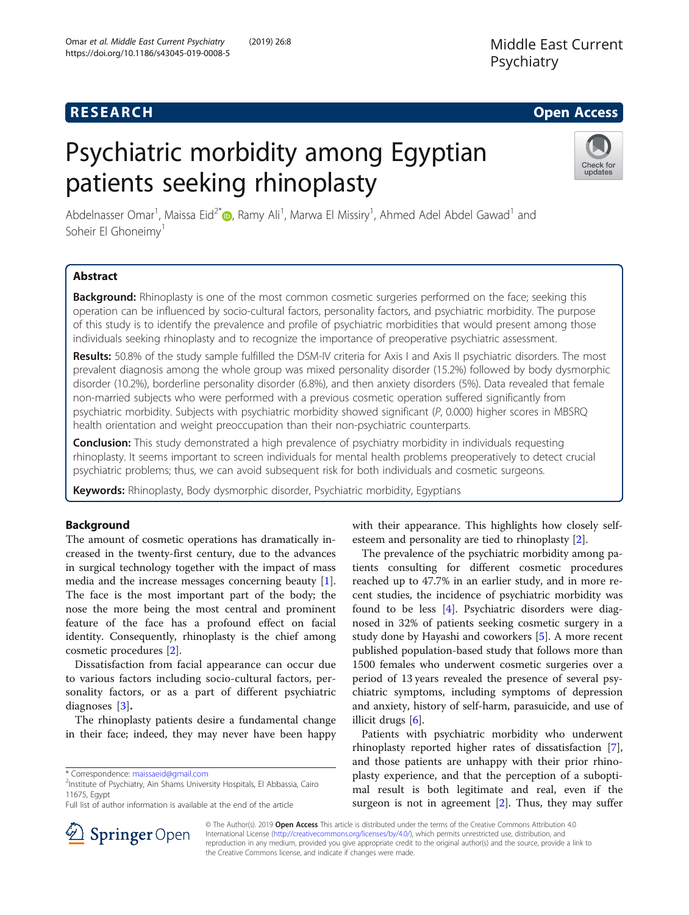## **RESEARCH CHE Open Access**

# Psychiatric morbidity among Egyptian patients seeking rhinoplasty



Abdelnasser Omar<sup>1</sup>[,](http://orcid.org/0000-0003-0234-3835) Maissa Eid<sup>2\*</sup>®, Ramy Ali<sup>1</sup>, Marwa El Missiry<sup>1</sup>, Ahmed Adel Abdel Gawad<sup>1</sup> and Soheir El Ghoneimy<sup>1</sup>

## Abstract

**Background:** Rhinoplasty is one of the most common cosmetic surgeries performed on the face; seeking this operation can be influenced by socio-cultural factors, personality factors, and psychiatric morbidity. The purpose of this study is to identify the prevalence and profile of psychiatric morbidities that would present among those individuals seeking rhinoplasty and to recognize the importance of preoperative psychiatric assessment.

Results: 50.8% of the study sample fulfilled the DSM-IV criteria for Axis I and Axis II psychiatric disorders. The most prevalent diagnosis among the whole group was mixed personality disorder (15.2%) followed by body dysmorphic disorder (10.2%), borderline personality disorder (6.8%), and then anxiety disorders (5%). Data revealed that female non-married subjects who were performed with a previous cosmetic operation suffered significantly from psychiatric morbidity. Subjects with psychiatric morbidity showed significant (P, 0.000) higher scores in MBSRQ health orientation and weight preoccupation than their non-psychiatric counterparts.

**Conclusion:** This study demonstrated a high prevalence of psychiatry morbidity in individuals requesting rhinoplasty. It seems important to screen individuals for mental health problems preoperatively to detect crucial psychiatric problems; thus, we can avoid subsequent risk for both individuals and cosmetic surgeons.

Keywords: Rhinoplasty, Body dysmorphic disorder, Psychiatric morbidity, Egyptians

## Background

The amount of cosmetic operations has dramatically increased in the twenty-first century, due to the advances in surgical technology together with the impact of mass media and the increase messages concerning beauty [\[1](#page-6-0)]. The face is the most important part of the body; the nose the more being the most central and prominent feature of the face has a profound effect on facial identity. Consequently, rhinoplasty is the chief among cosmetic procedures [[2\]](#page-6-0).

Dissatisfaction from facial appearance can occur due to various factors including socio-cultural factors, personality factors, or as a part of different psychiatric diagnoses [[3](#page-6-0)].

The rhinoplasty patients desire a fundamental change in their face; indeed, they may never have been happy with their appearance. This highlights how closely selfesteem and personality are tied to rhinoplasty [\[2](#page-6-0)].

The prevalence of the psychiatric morbidity among patients consulting for different cosmetic procedures reached up to 47.7% in an earlier study, and in more recent studies, the incidence of psychiatric morbidity was found to be less [[4](#page-6-0)]. Psychiatric disorders were diagnosed in 32% of patients seeking cosmetic surgery in a study done by Hayashi and coworkers [[5\]](#page-6-0). A more recent published population-based study that follows more than 1500 females who underwent cosmetic surgeries over a period of 13 years revealed the presence of several psychiatric symptoms, including symptoms of depression and anxiety, history of self-harm, parasuicide, and use of illicit drugs [[6\]](#page-6-0).

Patients with psychiatric morbidity who underwent rhinoplasty reported higher rates of dissatisfaction [\[7](#page-6-0)], and those patients are unhappy with their prior rhinoplasty experience, and that the perception of a suboptimal result is both legitimate and real, even if the surgeon is not in agreement  $[2]$  $[2]$ . Thus, they may suffer



© The Author(s). 2019 Open Access This article is distributed under the terms of the Creative Commons Attribution 4.0 International License ([http://creativecommons.org/licenses/by/4.0/\)](http://creativecommons.org/licenses/by/4.0/), which permits unrestricted use, distribution, and reproduction in any medium, provided you give appropriate credit to the original author(s) and the source, provide a link to the Creative Commons license, and indicate if changes were made.

<sup>\*</sup> Correspondence: [maissaeid@gmail.com](mailto:maissaeid@gmail.com) <sup>2</sup>

<sup>&</sup>lt;sup>2</sup>Institute of Psychiatry, Ain Shams University Hospitals, El Abbassia, Cairo 11675, Egypt

Full list of author information is available at the end of the article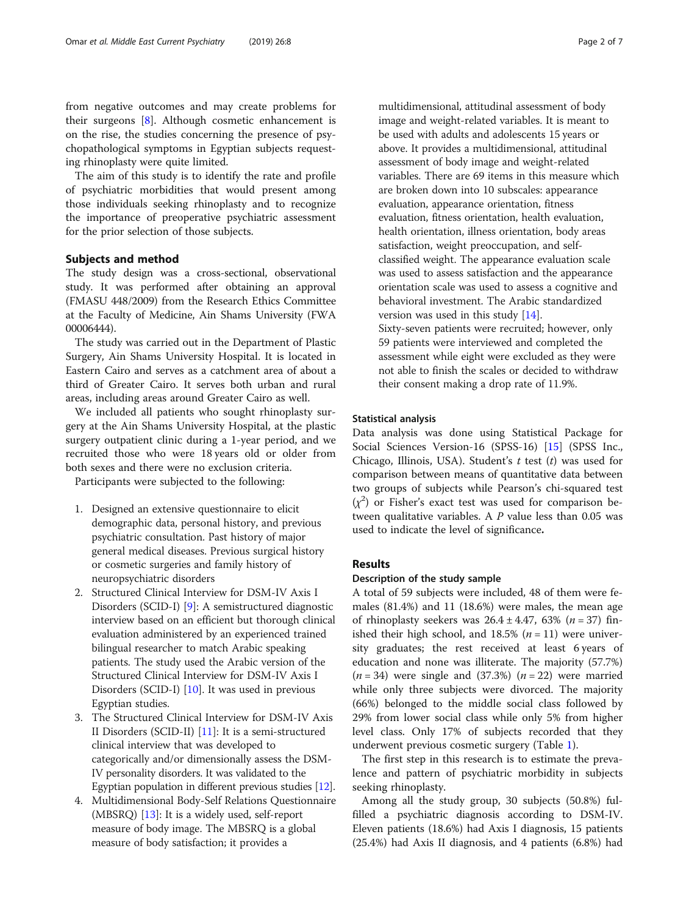from negative outcomes and may create problems for their surgeons [[8\]](#page-6-0). Although cosmetic enhancement is on the rise, the studies concerning the presence of psychopathological symptoms in Egyptian subjects requesting rhinoplasty were quite limited.

The aim of this study is to identify the rate and profile of psychiatric morbidities that would present among those individuals seeking rhinoplasty and to recognize the importance of preoperative psychiatric assessment for the prior selection of those subjects.

#### Subjects and method

The study design was a cross-sectional, observational study. It was performed after obtaining an approval (FMASU 448/2009) from the Research Ethics Committee at the Faculty of Medicine, Ain Shams University (FWA 00006444).

The study was carried out in the Department of Plastic Surgery, Ain Shams University Hospital. It is located in Eastern Cairo and serves as a catchment area of about a third of Greater Cairo. It serves both urban and rural areas, including areas around Greater Cairo as well.

We included all patients who sought rhinoplasty surgery at the Ain Shams University Hospital, at the plastic surgery outpatient clinic during a 1-year period, and we recruited those who were 18 years old or older from both sexes and there were no exclusion criteria.

Participants were subjected to the following:

- 1. Designed an extensive questionnaire to elicit demographic data, personal history, and previous psychiatric consultation. Past history of major general medical diseases. Previous surgical history or cosmetic surgeries and family history of neuropsychiatric disorders
- 2. Structured Clinical Interview for DSM-IV Axis I Disorders (SCID-I) [[9\]](#page-6-0): A semistructured diagnostic interview based on an efficient but thorough clinical evaluation administered by an experienced trained bilingual researcher to match Arabic speaking patients. The study used the Arabic version of the Structured Clinical Interview for DSM-IV Axis I Disorders (SCID-I) [[10](#page-6-0)]. It was used in previous Egyptian studies.
- 3. The Structured Clinical Interview for DSM-IV Axis II Disorders (SCID-II) [\[11\]](#page-6-0): It is a semi-structured clinical interview that was developed to categorically and/or dimensionally assess the DSM-IV personality disorders. It was validated to the Egyptian population in different previous studies [\[12\]](#page-6-0).
- 4. Multidimensional Body-Self Relations Questionnaire (MBSRQ) [[13\]](#page-6-0): It is a widely used, self-report measure of body image. The MBSRQ is a global measure of body satisfaction; it provides a

multidimensional, attitudinal assessment of body image and weight-related variables. It is meant to be used with adults and adolescents 15 years or above. It provides a multidimensional, attitudinal assessment of body image and weight-related variables. There are 69 items in this measure which are broken down into 10 subscales: appearance evaluation, appearance orientation, fitness evaluation, fitness orientation, health evaluation, health orientation, illness orientation, body areas satisfaction, weight preoccupation, and selfclassified weight. The appearance evaluation scale was used to assess satisfaction and the appearance orientation scale was used to assess a cognitive and behavioral investment. The Arabic standardized version was used in this study [\[14\]](#page-6-0). Sixty-seven patients were recruited; however, only 59 patients were interviewed and completed the assessment while eight were excluded as they were not able to finish the scales or decided to withdraw their consent making a drop rate of 11.9%.

#### Statistical analysis

Data analysis was done using Statistical Package for Social Sciences Version-16 (SPSS-16) [[15](#page-6-0)] (SPSS Inc., Chicago, Illinois, USA). Student's  $t$  test  $(t)$  was used for comparison between means of quantitative data between two groups of subjects while Pearson's chi-squared test  $(x^2)$  or Fisher's exact test was used for comparison between qualitative variables. A P value less than 0.05 was used to indicate the level of significance.

#### Results

#### Description of the study sample

A total of 59 subjects were included, 48 of them were females (81.4%) and 11 (18.6%) were males, the mean age of rhinoplasty seekers was  $26.4 \pm 4.47$ , 63% (*n* = 37) finished their high school, and 18.5% ( $n = 11$ ) were university graduates; the rest received at least 6 years of education and none was illiterate. The majority (57.7%)  $(n = 34)$  were single and  $(37.3%)$   $(n = 22)$  were married while only three subjects were divorced. The majority (66%) belonged to the middle social class followed by 29% from lower social class while only 5% from higher level class. Only 17% of subjects recorded that they underwent previous cosmetic surgery (Table [1\)](#page-2-0).

The first step in this research is to estimate the prevalence and pattern of psychiatric morbidity in subjects seeking rhinoplasty.

Among all the study group, 30 subjects (50.8%) fulfilled a psychiatric diagnosis according to DSM-IV. Eleven patients (18.6%) had Axis I diagnosis, 15 patients (25.4%) had Axis II diagnosis, and 4 patients (6.8%) had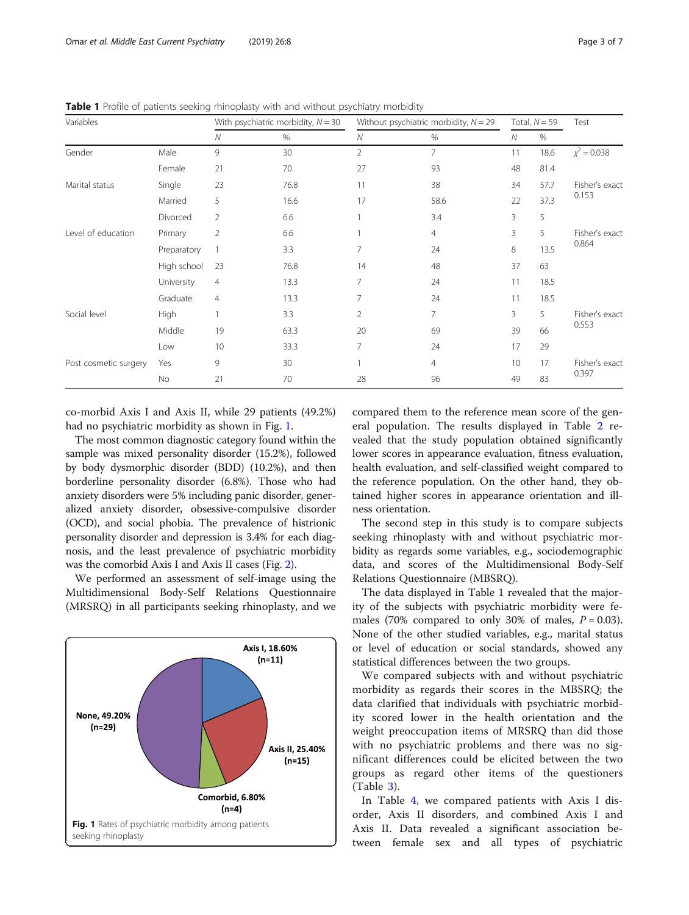| Variables             |             | With psychiatric morbidity, $N = 30$ |      | Without psychiatric morbidity, $N = 29$ |                | Total, $N = 59$ |      | Test                    |
|-----------------------|-------------|--------------------------------------|------|-----------------------------------------|----------------|-----------------|------|-------------------------|
|                       |             | ${\cal N}$                           | $\%$ | Ν                                       | %              | Ν               | %    |                         |
| Gender                | Male        | 9                                    | 30   | 2                                       | 7              | 11              | 18.6 | $\chi^2$ = 0.038        |
|                       | Female      | 21                                   | 70   | 27                                      | 93             | 48              | 81.4 |                         |
| Marital status        | Single      | 23                                   | 76.8 | 11                                      | 38             | 34              | 57.7 | Fisher's exact          |
|                       | Married     | 5                                    | 16.6 | 17                                      | 58.6           | 22              | 37.3 | 0.153                   |
|                       | Divorced    | $\overline{2}$                       | 6.6  |                                         | 3.4            | 3               | 5    |                         |
| Level of education    | Primary     | $\overline{2}$                       | 6.6  |                                         | $\overline{4}$ | 3               | 5    | Fisher's exact<br>0.864 |
|                       | Preparatory | $\mathbf{1}$                         | 3.3  | $\overline{7}$                          | 24             | 8               | 13.5 |                         |
|                       | High school | 23                                   | 76.8 | 14                                      | 48             | 37              | 63   |                         |
|                       | University  | 4                                    | 13.3 | 7                                       | 24             | 11              | 18.5 |                         |
|                       | Graduate    | $\overline{4}$                       | 13.3 | 7                                       | 24             | 11              | 18.5 |                         |
| Social level          | High        | $\mathbf{1}$                         | 3.3  | 2                                       | 7              | 3               | 5    | Fisher's exact<br>0.553 |
|                       | Middle      | 19                                   | 63.3 | 20                                      | 69             | 39              | 66   |                         |
|                       | Low         | 10                                   | 33.3 | 7                                       | 24             | 17              | 29   |                         |
| Post cosmetic surgery | Yes         | 9                                    | 30   |                                         | $\overline{4}$ | 10              | 17   | Fisher's exact<br>0.397 |
|                       | No          | 21                                   | 70   | 28                                      | 96             | 49              | 83   |                         |

<span id="page-2-0"></span>Table 1 Profile of patients seeking rhinoplasty with and without psychiatry morbidity

co-morbid Axis I and Axis II, while 29 patients (49.2%) had no psychiatric morbidity as shown in Fig. 1.

The most common diagnostic category found within the sample was mixed personality disorder (15.2%), followed by body dysmorphic disorder (BDD) (10.2%), and then borderline personality disorder (6.8%). Those who had anxiety disorders were 5% including panic disorder, generalized anxiety disorder, obsessive-compulsive disorder (OCD), and social phobia. The prevalence of histrionic personality disorder and depression is 3.4% for each diagnosis, and the least prevalence of psychiatric morbidity was the comorbid Axis I and Axis II cases (Fig. [2](#page-3-0)).

We performed an assessment of self-image using the Multidimensional Body-Self Relations Questionnaire (MRSRQ) in all participants seeking rhinoplasty, and we



compared them to the reference mean score of the general population. The results displayed in Table [2](#page-3-0) revealed that the study population obtained significantly lower scores in appearance evaluation, fitness evaluation, health evaluation, and self-classified weight compared to the reference population. On the other hand, they obtained higher scores in appearance orientation and illness orientation.

The second step in this study is to compare subjects seeking rhinoplasty with and without psychiatric morbidity as regards some variables, e.g., sociodemographic data, and scores of the Multidimensional Body-Self Relations Questionnaire (MBSRQ).

The data displayed in Table 1 revealed that the majority of the subjects with psychiatric morbidity were females (70% compared to only 30% of males,  $P = 0.03$ ). None of the other studied variables, e.g., marital status or level of education or social standards, showed any statistical differences between the two groups.

We compared subjects with and without psychiatric morbidity as regards their scores in the MBSRQ; the data clarified that individuals with psychiatric morbidity scored lower in the health orientation and the weight preoccupation items of MRSRQ than did those with no psychiatric problems and there was no significant differences could be elicited between the two groups as regard other items of the questioners (Table [3](#page-4-0)).

In Table [4](#page-4-0), we compared patients with Axis I disorder, Axis II disorders, and combined Axis I and Axis II. Data revealed a significant association between female sex and all types of psychiatric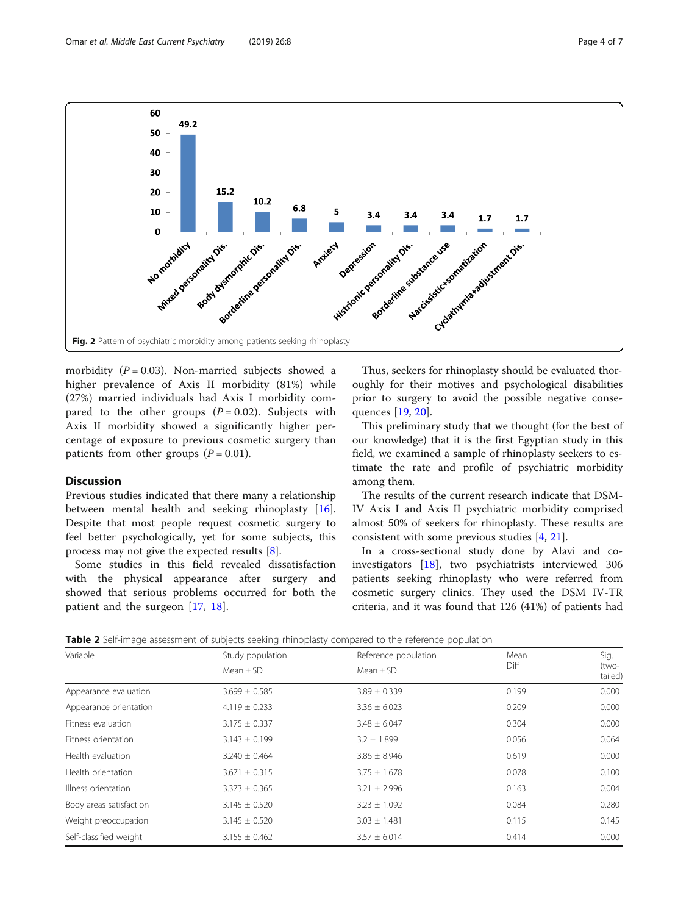<span id="page-3-0"></span>

higher prevalence of Axis II morbidity (81%) while (27%) married individuals had Axis I morbidity compared to the other groups  $(P = 0.02)$ . Subjects with Axis II morbidity showed a significantly higher percentage of exposure to previous cosmetic surgery than patients from other groups  $(P = 0.01)$ .

#### **Discussion**

Previous studies indicated that there many a relationship between mental health and seeking rhinoplasty [\[16](#page-6-0)]. Despite that most people request cosmetic surgery to feel better psychologically, yet for some subjects, this process may not give the expected results [\[8](#page-6-0)].

Some studies in this field revealed dissatisfaction with the physical appearance after surgery and showed that serious problems occurred for both the patient and the surgeon [[17](#page-6-0), [18](#page-6-0)].

Thus, seekers for rhinoplasty should be evaluated thoroughly for their motives and psychological disabilities prior to surgery to avoid the possible negative consequences [[19,](#page-6-0) [20\]](#page-6-0).

This preliminary study that we thought (for the best of our knowledge) that it is the first Egyptian study in this field, we examined a sample of rhinoplasty seekers to estimate the rate and profile of psychiatric morbidity among them.

The results of the current research indicate that DSM-IV Axis I and Axis II psychiatric morbidity comprised almost 50% of seekers for rhinoplasty. These results are consistent with some previous studies [[4,](#page-6-0) [21\]](#page-6-0).

In a cross-sectional study done by Alavi and coinvestigators [[18](#page-6-0)], two psychiatrists interviewed 306 patients seeking rhinoplasty who were referred from cosmetic surgery clinics. They used the DSM IV-TR criteria, and it was found that 126 (41%) of patients had

Table 2 Self-image assessment of subjects seeking rhinoplasty compared to the reference population

| Variable                | Study population  | Reference population | Mean  | Sig.            |
|-------------------------|-------------------|----------------------|-------|-----------------|
|                         | Mean $\pm$ SD     | Mean $\pm$ SD        | Diff  | (two-<br>tailed |
| Appearance evaluation   | $3.699 \pm 0.585$ | $3.89 \pm 0.339$     | 0.199 | 0.000           |
| Appearance orientation  | $4.119 \pm 0.233$ | $3.36 \pm 6.023$     | 0.209 | 0.000           |
| Fitness evaluation      | $3.175 \pm 0.337$ | $3.48 \pm 6.047$     | 0.304 | 0.000           |
| Fitness orientation     | $3.143 \pm 0.199$ | $3.2 \pm 1.899$      | 0.056 | 0.064           |
| Health evaluation       | $3.240 \pm 0.464$ | $3.86 \pm 8.946$     | 0.619 | 0.000           |
| Health orientation      | $3.671 \pm 0.315$ | $3.75 \pm 1.678$     | 0.078 | 0.100           |
| Illness orientation     | $3.373 \pm 0.365$ | $3.21 \pm 2.996$     | 0.163 | 0.004           |
| Body areas satisfaction | $3.145 \pm 0.520$ | $3.23 \pm 1.092$     | 0.084 | 0.280           |
| Weight preoccupation    | $3.145 \pm 0.520$ | $3.03 \pm 1.481$     | 0.115 | 0.145           |
| Self-classified weight  | $3.155 \pm 0.462$ | $3.57 \pm 6.014$     | 0.414 | 0.000           |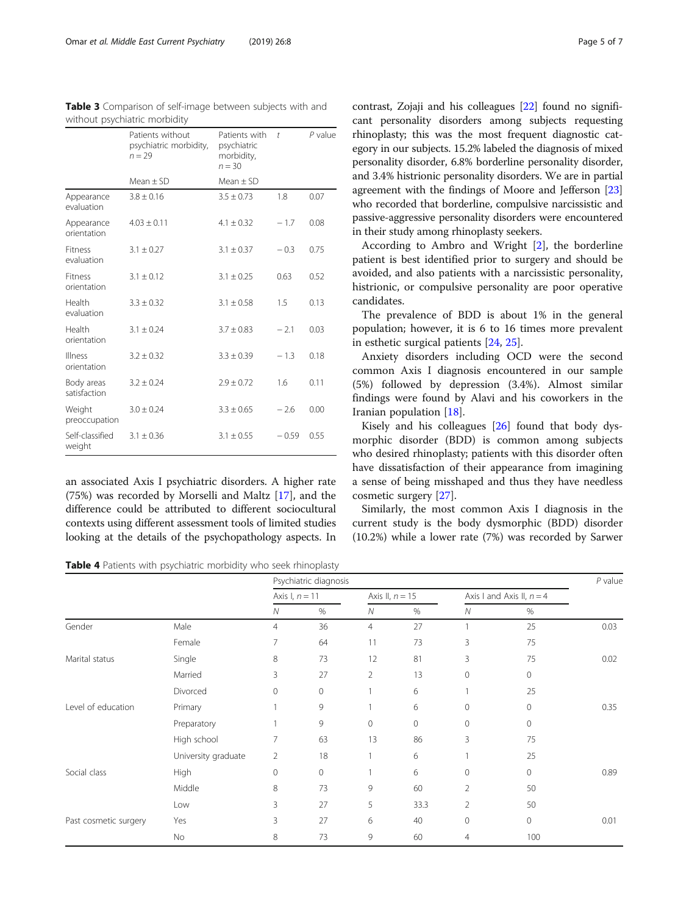<span id="page-4-0"></span>

| Table 3 Comparison of self-image between subjects with and |  |  |
|------------------------------------------------------------|--|--|
| without psychiatric morbidity                              |  |  |

|                            | Patients without<br>psychiatric morbidity,<br>$n = 29$ | Patients with<br>psychiatric<br>morbidity,<br>$n = 30$ | $\ddot{\phantom{a}}$ | P value |
|----------------------------|--------------------------------------------------------|--------------------------------------------------------|----------------------|---------|
|                            | $Mean + SD$                                            | Mean $\pm$ SD                                          |                      |         |
| Appearance<br>evaluation   | $3.8 \pm 0.16$                                         | $3.5 \pm 0.73$                                         | 1.8                  | 0.07    |
| Appearance<br>orientation  | $4.03 \pm 0.11$                                        | $4.1 \pm 0.32$                                         | $-1.7$               | 0.08    |
| Fitness<br>evaluation      | $3.1 \pm 0.27$                                         | $3.1 \pm 0.37$                                         | $-0.3$               | 0.75    |
| Fitness<br>orientation     | $3.1 \pm 0.12$                                         | $3.1 \pm 0.25$                                         | 0.63                 | 0.52    |
| Health<br>evaluation       | $3.3 \pm 0.32$                                         | $3.1 \pm 0.58$                                         | 1.5                  | 0.13    |
| Health<br>orientation      | $3.1 \pm 0.24$                                         | $3.7 \pm 0.83$                                         | $-2.1$               | 0.03    |
| Illness<br>orientation     | $3.2 \pm 0.32$                                         | $3.3 \pm 0.39$                                         | $-1.3$               | 0.18    |
| Body areas<br>satisfaction | $3.2 \pm 0.24$                                         | $2.9 \pm 0.72$                                         | 1.6                  | 0.11    |
| Weight<br>preoccupation    | $3.0 \pm 0.24$                                         | $3.3 \pm 0.65$                                         | $-2.6$               | 0.00    |
| Self-classified<br>weight  | $3.1 \pm 0.36$                                         | $3.1 \pm 0.55$                                         | $-0.59$              | 0.55    |

an associated Axis I psychiatric disorders. A higher rate (75%) was recorded by Morselli and Maltz [\[17](#page-6-0)], and the difference could be attributed to different sociocultural contexts using different assessment tools of limited studies looking at the details of the psychopathology aspects. In

Table 4 Patients with psychiatric morbidity who seek rhinoplasty

contrast, Zojaji and his colleagues [\[22\]](#page-6-0) found no significant personality disorders among subjects requesting rhinoplasty; this was the most frequent diagnostic category in our subjects. 15.2% labeled the diagnosis of mixed personality disorder, 6.8% borderline personality disorder, and 3.4% histrionic personality disorders. We are in partial agreement with the findings of Moore and Jefferson [[23](#page-6-0)] who recorded that borderline, compulsive narcissistic and passive-aggressive personality disorders were encountered in their study among rhinoplasty seekers.

According to Ambro and Wright [[2\]](#page-6-0), the borderline patient is best identified prior to surgery and should be avoided, and also patients with a narcissistic personality, histrionic, or compulsive personality are poor operative candidates.

The prevalence of BDD is about 1% in the general population; however, it is 6 to 16 times more prevalent in esthetic surgical patients [\[24](#page-6-0), [25](#page-6-0)].

Anxiety disorders including OCD were the second common Axis I diagnosis encountered in our sample (5%) followed by depression (3.4%). Almost similar findings were found by Alavi and his coworkers in the Iranian population [[18\]](#page-6-0).

Kisely and his colleagues [[26](#page-6-0)] found that body dysmorphic disorder (BDD) is common among subjects who desired rhinoplasty; patients with this disorder often have dissatisfaction of their appearance from imagining a sense of being misshaped and thus they have needless cosmetic surgery [[27\]](#page-6-0).

Similarly, the most common Axis I diagnosis in the current study is the body dysmorphic (BDD) disorder (10.2%) while a lower rate (7%) was recorded by Sarwer

|                       |                     | Psychiatric diagnosis |             |                   |                |                             | $P$ value    |      |
|-----------------------|---------------------|-----------------------|-------------|-------------------|----------------|-----------------------------|--------------|------|
|                       |                     | Axis I, $n = 11$      |             | Axis II, $n = 15$ |                | Axis I and Axis II, $n = 4$ |              |      |
|                       |                     | N                     | $\%$        | Ν                 | $\%$           | ${\cal N}$                  | $\%$         |      |
| Gender                | Male                | $\overline{4}$        | 36          | $\overline{4}$    | 27             |                             | 25           | 0.03 |
|                       | Female              | 7                     | 64          | 11                | 73             | 3                           | 75           |      |
| Marital status        | Single              | 8                     | 73          | 12                | 81             | 3                           | 75           | 0.02 |
|                       | Married             | 3                     | 27          | 2                 | 13             | $\mathbf{0}$                | $\circ$      |      |
|                       | Divorced            | $\mathbf{0}$          | $\mathbf 0$ |                   | 6              |                             | 25           |      |
| Level of education    | Primary             | 1                     | 9           |                   | 6              | 0                           | $\circ$      | 0.35 |
|                       | Preparatory         | 1                     | 9           | $\overline{0}$    | $\overline{0}$ | 0                           | $\mathbf 0$  |      |
|                       | High school         | 7                     | 63          | 13                | 86             | 3                           | 75           |      |
|                       | University graduate | $\overline{2}$        | 18          |                   | 6              |                             | 25           |      |
| Social class          | High                | $\mathbf{0}$          | $\mathbf 0$ |                   | 6              | $\mathbf{0}$                | $\mathbf{0}$ | 0.89 |
|                       | Middle              | 8                     | 73          | 9                 | 60             | $\overline{2}$              | 50           |      |
|                       | Low                 | 3                     | 27          | 5                 | 33.3           | 2                           | 50           |      |
| Past cosmetic surgery | Yes                 | 3                     | 27          | 6                 | 40             | $\mathbf 0$                 | $\circ$      | 0.01 |
|                       | No                  | 8                     | 73          | 9                 | 60             | $\overline{4}$              | 100          |      |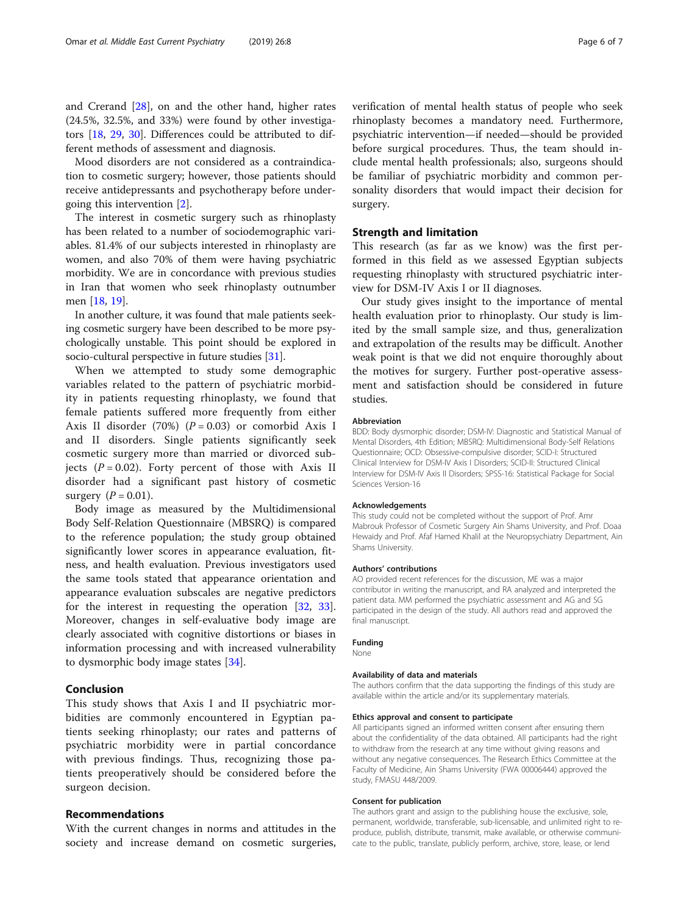and Crerand [[28\]](#page-6-0), on and the other hand, higher rates (24.5%, 32.5%, and 33%) were found by other investigators [[18](#page-6-0), [29](#page-6-0), [30](#page-6-0)]. Differences could be attributed to different methods of assessment and diagnosis.

Mood disorders are not considered as a contraindication to cosmetic surgery; however, those patients should receive antidepressants and psychotherapy before undergoing this intervention [[2\]](#page-6-0).

The interest in cosmetic surgery such as rhinoplasty has been related to a number of sociodemographic variables. 81.4% of our subjects interested in rhinoplasty are women, and also 70% of them were having psychiatric morbidity. We are in concordance with previous studies in Iran that women who seek rhinoplasty outnumber men [[18,](#page-6-0) [19\]](#page-6-0).

In another culture, it was found that male patients seeking cosmetic surgery have been described to be more psychologically unstable. This point should be explored in socio-cultural perspective in future studies [\[31\]](#page-6-0).

When we attempted to study some demographic variables related to the pattern of psychiatric morbidity in patients requesting rhinoplasty, we found that female patients suffered more frequently from either Axis II disorder (70%)  $(P = 0.03)$  or comorbid Axis I and II disorders. Single patients significantly seek cosmetic surgery more than married or divorced subjects  $(P = 0.02)$ . Forty percent of those with Axis II disorder had a significant past history of cosmetic surgery  $(P = 0.01)$ .

Body image as measured by the Multidimensional Body Self-Relation Questionnaire (MBSRQ) is compared to the reference population; the study group obtained significantly lower scores in appearance evaluation, fitness, and health evaluation. Previous investigators used the same tools stated that appearance orientation and appearance evaluation subscales are negative predictors for the interest in requesting the operation [[32,](#page-6-0) [33](#page-6-0)]. Moreover, changes in self-evaluative body image are clearly associated with cognitive distortions or biases in information processing and with increased vulnerability to dysmorphic body image states [\[34](#page-6-0)].

### Conclusion

This study shows that Axis I and II psychiatric morbidities are commonly encountered in Egyptian patients seeking rhinoplasty; our rates and patterns of psychiatric morbidity were in partial concordance with previous findings. Thus, recognizing those patients preoperatively should be considered before the surgeon decision.

#### Recommendations

With the current changes in norms and attitudes in the society and increase demand on cosmetic surgeries, verification of mental health status of people who seek rhinoplasty becomes a mandatory need. Furthermore, psychiatric intervention—if needed—should be provided before surgical procedures. Thus, the team should include mental health professionals; also, surgeons should be familiar of psychiatric morbidity and common personality disorders that would impact their decision for surgery.

#### Strength and limitation

This research (as far as we know) was the first performed in this field as we assessed Egyptian subjects requesting rhinoplasty with structured psychiatric interview for DSM-IV Axis I or II diagnoses.

Our study gives insight to the importance of mental health evaluation prior to rhinoplasty. Our study is limited by the small sample size, and thus, generalization and extrapolation of the results may be difficult. Another weak point is that we did not enquire thoroughly about the motives for surgery. Further post-operative assessment and satisfaction should be considered in future studies.

#### Abbreviation

BDD: Body dysmorphic disorder; DSM-IV: Diagnostic and Statistical Manual of Mental Disorders, 4th Edition; MBSRQ: Multidimensional Body-Self Relations Questionnaire; OCD: Obsessive-compulsive disorder; SCID-I: Structured Clinical Interview for DSM-IV Axis I Disorders; SCID-II: Structured Clinical Interview for DSM-IV Axis II Disorders; SPSS-16: Statistical Package for Social Sciences Version-16

#### Acknowledgements

This study could not be completed without the support of Prof. Amr Mabrouk Professor of Cosmetic Surgery Ain Shams University, and Prof. Doaa Hewaidy and Prof. Afaf Hamed Khalil at the Neuropsychiatry Department, Ain Shams University.

#### Authors' contributions

AO provided recent references for the discussion, ME was a major contributor in writing the manuscript, and RA analyzed and interpreted the patient data. MM performed the psychiatric assessment and AG and SG participated in the design of the study. All authors read and approved the final manuscript.

#### Funding

None

#### Availability of data and materials

The authors confirm that the data supporting the findings of this study are available within the article and/or its supplementary materials.

#### Ethics approval and consent to participate

All participants signed an informed written consent after ensuring them about the confidentiality of the data obtained. All participants had the right to withdraw from the research at any time without giving reasons and without any negative consequences. The Research Ethics Committee at the Faculty of Medicine, Ain Shams University (FWA 00006444) approved the study, FMASU 448/2009.

#### Consent for publication

The authors grant and assign to the publishing house the exclusive, sole, permanent, worldwide, transferable, sub-licensable, and unlimited right to reproduce, publish, distribute, transmit, make available, or otherwise communicate to the public, translate, publicly perform, archive, store, lease, or lend